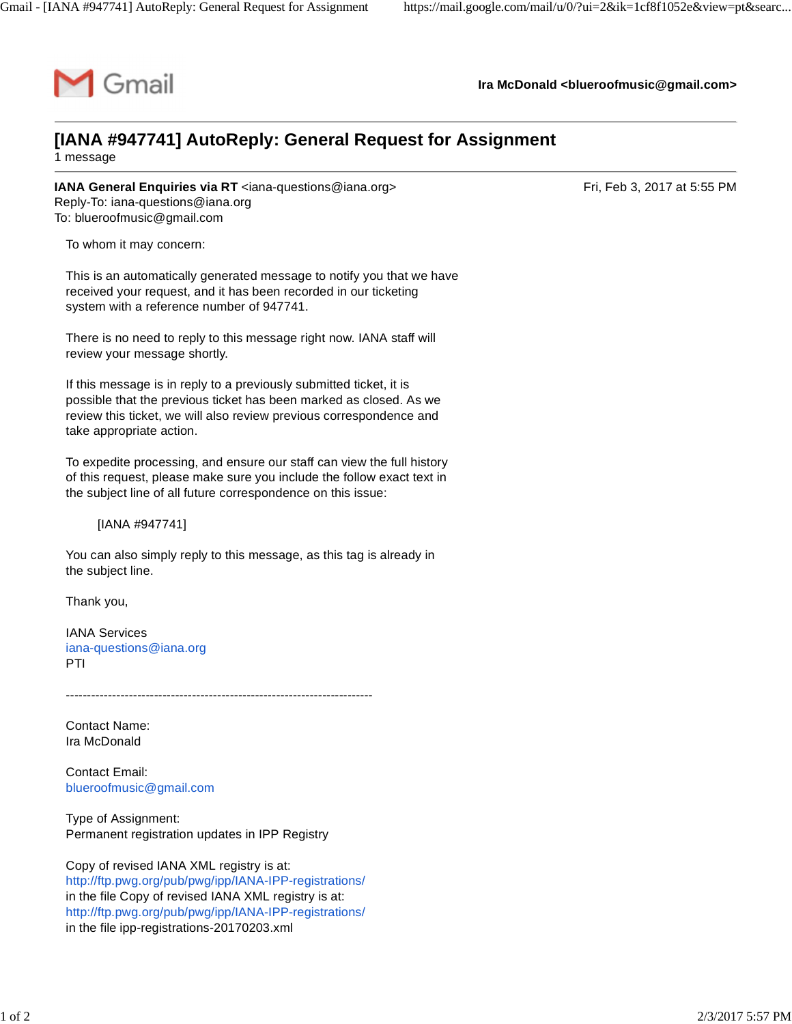

**Ira McDonald [<blueroofmusic@gmail.com](mailto:blueroofmusic@gmail.com)>**

## **[IANA #947741] AutoReply: General Request for Assignment**

1 message

**IANA General Enquiries via RT** [<iana-questions@iana.org>](mailto:iana-questions@iana.org)Fri, Feb 3, 2017 at 5:55 PM Reply-To: [iana-questions@iana.org](mailto:iana-questions@iana.org) To: [blueroofmusic@gmail.com](mailto:blueroofmusic@gmail.com)

To whom it may concern:

This is an automatically generated message to notify you that we have received your request, and it has been recorded in our ticketing system with a reference number of 947741.

There is no need to reply to this message right now. IANA staff will review your message shortly.

If this message is in reply to a previously submitted ticket, it is possible that the previous ticket has been marked as closed. As we review this ticket, we will also review previous correspondence and take appropriate action.

To expedite processing, and ensure our staff can view the full history of this request, please make sure you include the follow exact text in the subject line of all future correspondence on this issue:

[IANA #947741]

You can also simply reply to this message, as this tag is already in the subject line.

Thank you,

IANA Services [iana-questions@iana.org](mailto:iana-questions@iana.org) PTI

-------------------------------------------------------------------------

Contact Name: Ira McDonald

Contact Email: [blueroofmusic@gmail.com](mailto:blueroofmusic@gmail.com)

Type of Assignment: Permanent registration updates in IPP Registry

Copy of revised IANA XML registry is at: <http://ftp.pwg.org/pub/pwg/ipp/IANA-IPP-registrations/> in the file Copy of revised IANA XML registry is at: <http://ftp.pwg.org/pub/pwg/ipp/IANA-IPP-registrations/> in the file ipp-registrations-20170203.xml